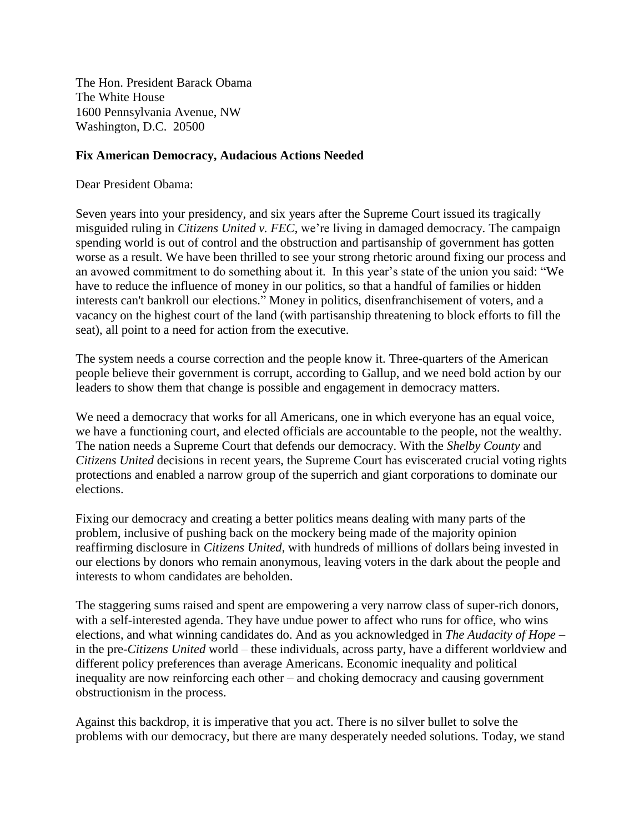The Hon. President Barack Obama The White House 1600 Pennsylvania Avenue, NW Washington, D.C. 20500

## **Fix American Democracy, Audacious Actions Needed**

Dear President Obama:

Seven years into your presidency, and six years after the Supreme Court issued its tragically misguided ruling in *Citizens United v. FEC*, we're living in damaged democracy. The campaign spending world is out of control and the obstruction and partisanship of government has gotten worse as a result. We have been thrilled to see your strong rhetoric around fixing our process and an avowed commitment to do something about it. In this year's state of the union you said: "We have to reduce the influence of money in our politics, so that a handful of families or hidden interests can't bankroll our elections." Money in politics, disenfranchisement of voters, and a vacancy on the highest court of the land (with partisanship threatening to block efforts to fill the seat), all point to a need for action from the executive.

The system needs a course correction and the people know it. Three-quarters of the American people believe their government is corrupt, according to Gallup, and we need bold action by our leaders to show them that change is possible and engagement in democracy matters.

We need a democracy that works for all Americans, one in which everyone has an equal voice, we have a functioning court, and elected officials are accountable to the people, not the wealthy. The nation needs a Supreme Court that defends our democracy. With the *Shelby County* and *Citizens United* decisions in recent years, the Supreme Court has eviscerated crucial voting rights protections and enabled a narrow group of the superrich and giant corporations to dominate our elections.

Fixing our democracy and creating a better politics means dealing with many parts of the problem, inclusive of pushing back on the mockery being made of the majority opinion reaffirming disclosure in *Citizens United*, with hundreds of millions of dollars being invested in our elections by donors who remain anonymous, leaving voters in the dark about the people and interests to whom candidates are beholden.

The staggering sums raised and spent are empowering a very narrow class of super-rich donors, with a self-interested agenda. They have undue power to affect who runs for office, who wins elections, and what winning candidates do. And as you acknowledged in *The Audacity of Hope* – in the pre-*Citizens United* world – these individuals, across party, have a different worldview and different policy preferences than average Americans. Economic inequality and political inequality are now reinforcing each other – and choking democracy and causing government obstructionism in the process.

Against this backdrop, it is imperative that you act. There is no silver bullet to solve the problems with our democracy, but there are many desperately needed solutions. Today, we stand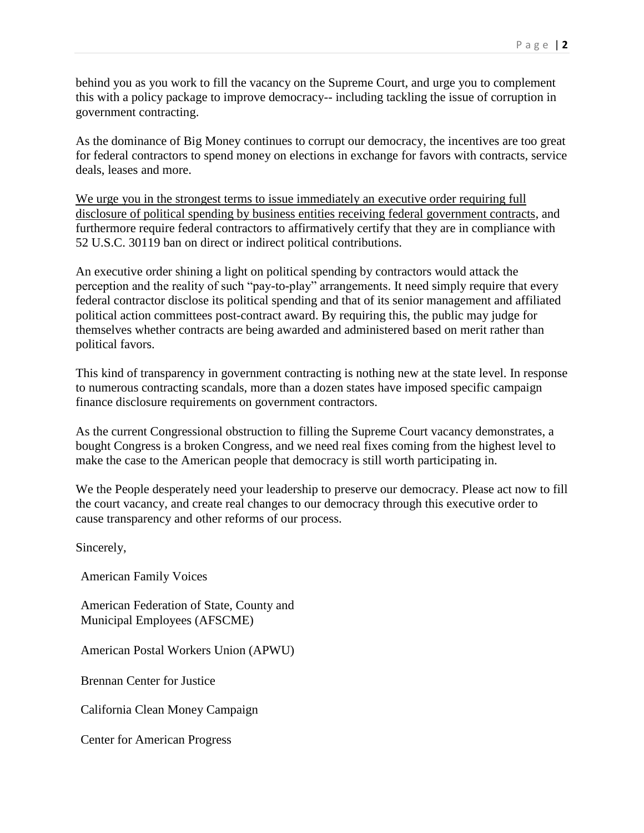behind you as you work to fill the vacancy on the Supreme Court, and urge you to complement this with a policy package to improve democracy-- including tackling the issue of corruption in government contracting.

As the dominance of Big Money continues to corrupt our democracy, the incentives are too great for federal contractors to spend money on elections in exchange for favors with contracts, service deals, leases and more.

We urge you in the strongest terms to issue immediately an executive order requiring full disclosure of political spending by business entities receiving federal government contracts, and furthermore require federal contractors to affirmatively certify that they are in compliance with 52 U.S.C. 30119 ban on direct or indirect political contributions.

An executive order shining a light on political spending by contractors would attack the perception and the reality of such "pay-to-play" arrangements. It need simply require that every federal contractor disclose its political spending and that of its senior management and affiliated political action committees post-contract award. By requiring this, the public may judge for themselves whether contracts are being awarded and administered based on merit rather than political favors.

This kind of transparency in government contracting is nothing new at the state level. In response to numerous contracting scandals, more than a dozen states have imposed specific campaign finance disclosure requirements on government contractors.

As the current Congressional obstruction to filling the Supreme Court vacancy demonstrates, a bought Congress is a broken Congress, and we need real fixes coming from the highest level to make the case to the American people that democracy is still worth participating in.

We the People desperately need your leadership to preserve our democracy. Please act now to fill the court vacancy, and create real changes to our democracy through this executive order to cause transparency and other reforms of our process.

Sincerely,

American Family Voices

American Federation of State, County and Municipal Employees (AFSCME)

American Postal Workers Union (APWU)

Brennan Center for Justice

California Clean Money Campaign

Center for American Progress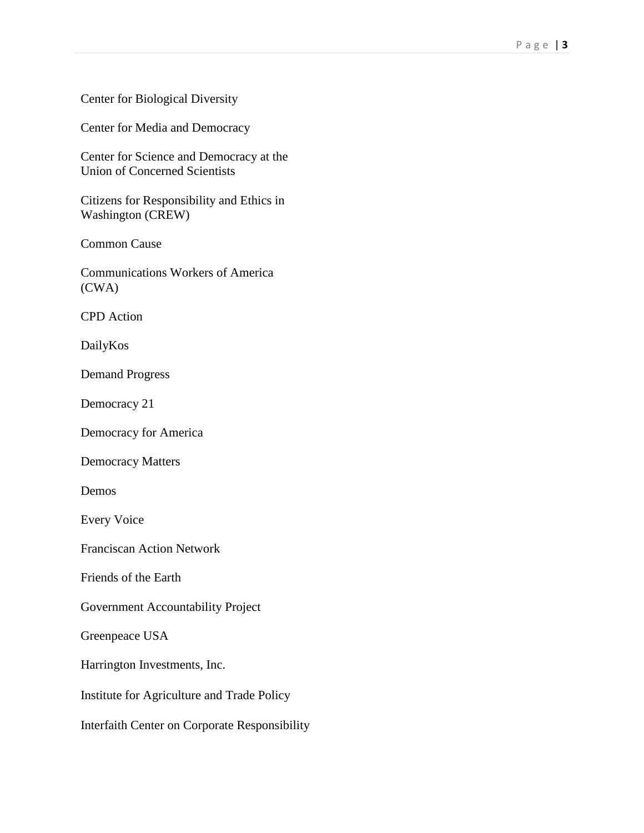## Center for Biological Diversity

Center for Media and Democracy

Center for Science and Democracy at the Union of Concerned Scientists

Citizens for Responsibility and Ethics in Washington (CREW)

Common Cause

Communications Workers of America (CWA)

CPD Action

DailyKos

Demand Progress

Democracy 21

Democracy for America

Democracy Matters

Demos

Every Voice

Franciscan Action Network

Friends of the Earth

Government Accountability Project

Greenpeace USA

Harrington Investments, Inc.

Institute for Agriculture and Trade Policy

Interfaith Center on Corporate Responsibility